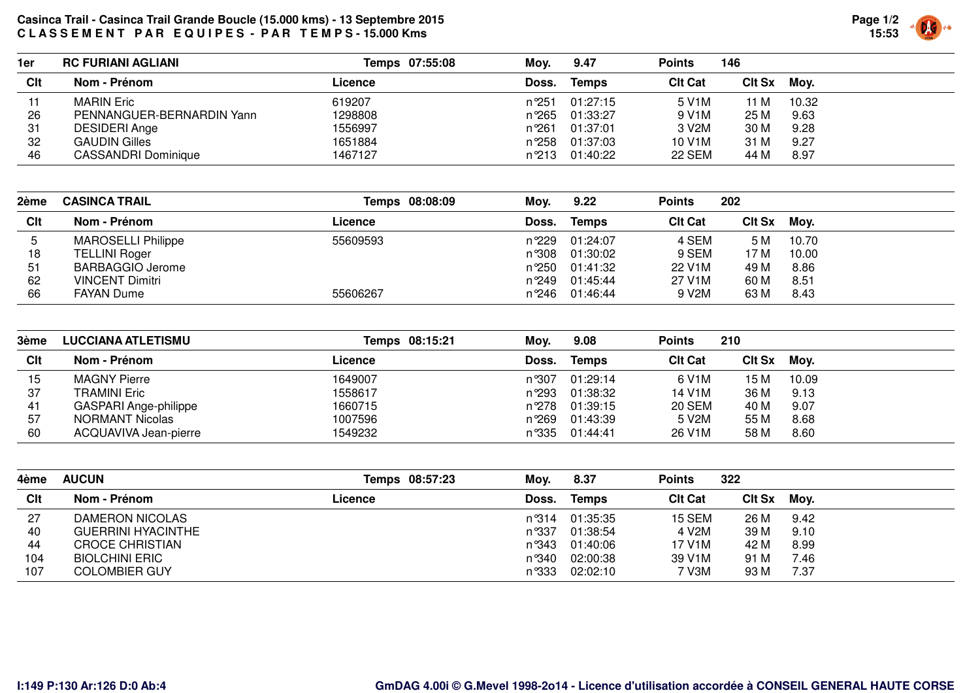## **Casinca Trail - Casinca Trail Grande Boucle (15.000 kms) - 13 Septembre 2015 C L A S S E M E N T P A R E Q U I P E S - P A R T E M P S - 15.000 Kms**



| 1er | <b>RC FURIANI AGLIANI</b>  | Temps 07:55:08 | Mov.   | 9.47         | <b>Points</b>  | 146         |       |
|-----|----------------------------|----------------|--------|--------------|----------------|-------------|-------|
| Clt | Nom - Prénom               | Licence        | Doss.  | <b>Temps</b> | <b>CIt Cat</b> | Cit Sx Moy. |       |
| 11  | <b>MARIN Eric</b>          | 619207         | n °251 | 01:27:15     | 5 V1M          | 11 M        | 10.32 |
| 26  | PENNANGUER-BERNARDIN Yann  | 1298808        | n°265  | 01:33:27     | 9 V1M          | 25 M        | 9.63  |
| 31  | <b>DESIDERI Ange</b>       | 1556997        | n°261  | 01:37:01     | 3 V2M          | 30 M        | 9.28  |
| 32  | <b>GAUDIN Gilles</b>       | 1651884        | n°258  | 01:37:03     | 10 V1M         | 31 M        | 9.27  |
| 46  | <b>CASSANDRI Dominique</b> | 1467127        | n°213  | 01:40:22     | 22 SEM         | 44 M        | 8.97  |

| 2ème | <b>CASINCA TRAIL</b>      | Temps 08:08:09 | Moy.  | 9.22           | <b>Points</b>  | 202           |       |
|------|---------------------------|----------------|-------|----------------|----------------|---------------|-------|
| Clt  | Nom - Prénom              | Licence        | Doss. | Temps          | <b>CIt Cat</b> | <b>CIt Sx</b> | Moy.  |
|      | <b>MAROSELLI Philippe</b> | 55609593       |       | n°229 01:24:07 | 4 SEM          | 5 M           | 10.70 |
| 18   | <b>TELLINI Roger</b>      |                | n°308 | 01:30:02       | 9 SEM          | 17 M          | 10.00 |
| 51   | <b>BARBAGGIO Jerome</b>   |                |       | n°250 01:41:32 | 22 V1M         | 49 M          | 8.86  |
| 62   | <b>VINCENT Dimitri</b>    |                | n°249 | 01:45:44       | 27 V1M         | 60 M          | 8.51  |
| 66   | <b>FAYAN Dume</b>         | 55606267       |       | n°246 01:46:44 | 9 V2M          | 63 M          | 8.43  |

| 3ème | <b>LUCCIANA ATLETISMU</b> | Temps 08:15:21 | Moy.   | 9.08                        | <b>Points</b>  | 210         |       |
|------|---------------------------|----------------|--------|-----------------------------|----------------|-------------|-------|
| Clt  | Nom - Prénom              | Licence        | Doss.  | <b>Temps</b>                | <b>CIt Cat</b> | CIt Sx Moy. |       |
| 15   | <b>MAGNY Pierre</b>       | 1649007        | n °307 | 01:29:14                    | 6 V1M          | 15 M        | 10.09 |
| 37   | <b>TRAMINI Eric</b>       | 1558617        |        | n <sup>o</sup> 293 01:38:32 | 14 V1M         | 36 M        | 9.13  |
| 41   | GASPARI Ange-philippe     | 1660715        |        | n <sup>o</sup> 278 01:39:15 | <b>20 SEM</b>  | 40 M        | 9.07  |
| 57   | NORMANT Nicolas           | 1007596        |        | n <sup>o</sup> 269 01:43:39 | 5 V2M          | 55 M        | 8.68  |
| 60   | ACQUAVIVA Jean-pierre     | 1549232        |        | n°335 01:44:41              | 26 V1M         | 58 M        | 8.60  |

| 4ème | <b>AUCUN</b>              | Temps 08:57:23 | Mov.  | 8.37           | <b>Points</b>  | 322         |      |
|------|---------------------------|----------------|-------|----------------|----------------|-------------|------|
| Clt  | Nom - Prénom              | Licence        | Doss. | <b>Temps</b>   | <b>CIt Cat</b> | CIt Sx Moy. |      |
| 27   | DAMERON NICOLAS           |                |       | n°314 01:35:35 | 15 SEM         | 26 M        | 9.42 |
| 40   | <b>GUERRINI HYACINTHE</b> |                |       | n 337 01:38:54 | 4 V2M          | 39 M        | 9.10 |
| 44   | <b>CROCE CHRISTIAN</b>    |                |       | n°343 01:40:06 | 17 V1M         | 42 M        | 8.99 |
| 104  | <b>BIOLCHINI ERIC</b>     |                |       | n°340 02:00:38 | 39 V1M         | 91 M        | 7.46 |
| 107  | <b>COLOMBIER GUY</b>      |                |       | n°333 02:02:10 | 7 V3M          | 93 M        | 7.37 |